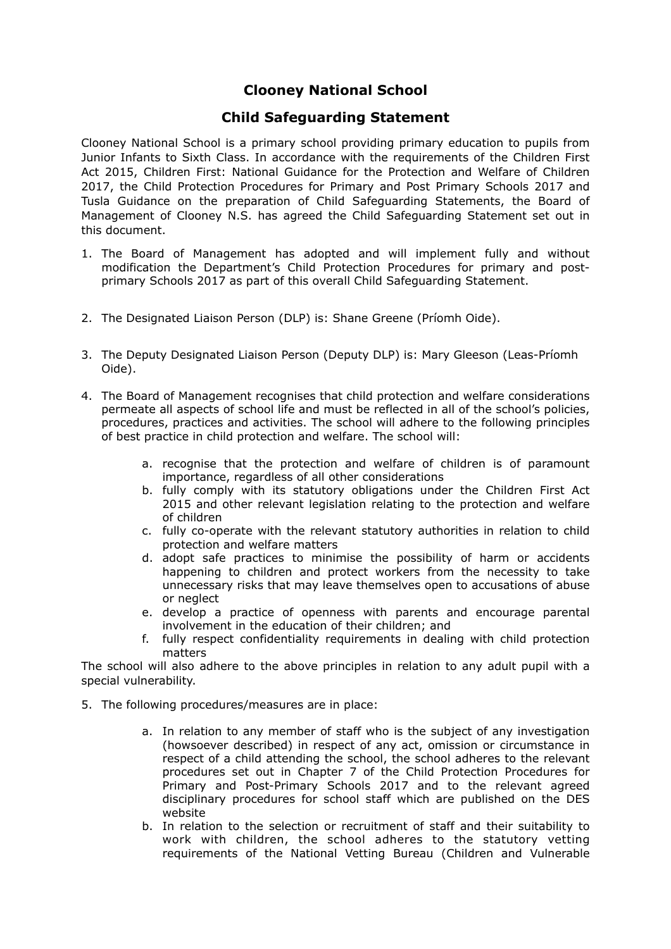### **Child Safeguarding Statement**

Clooney National School is a primary school providing primary education to pupils from Junior Infants to Sixth Class. In accordance with the requirements of the Children First Act 2015, Children First: National Guidance for the Protection and Welfare of Children 2017, the Child Protection Procedures for Primary and Post Primary Schools 2017 and Tusla Guidance on the preparation of Child Safeguarding Statements, the Board of Management of Clooney N.S. has agreed the Child Safeguarding Statement set out in this document.

- 1. The Board of Management has adopted and will implement fully and without modification the Department's Child Protection Procedures for primary and postprimary Schools 2017 as part of this overall Child Safeguarding Statement.
- 2. The Designated Liaison Person (DLP) is: Shane Greene (Príomh Oide).
- 3. The Deputy Designated Liaison Person (Deputy DLP) is: Mary Gleeson (Leas-Príomh Oide).
- 4. The Board of Management recognises that child protection and welfare considerations permeate all aspects of school life and must be reflected in all of the school's policies, procedures, practices and activities. The school will adhere to the following principles of best practice in child protection and welfare. The school will:
	- a. recognise that the protection and welfare of children is of paramount importance, regardless of all other considerations
	- b. fully comply with its statutory obligations under the Children First Act 2015 and other relevant legislation relating to the protection and welfare of children
	- c. fully co-operate with the relevant statutory authorities in relation to child protection and welfare matters
	- d. adopt safe practices to minimise the possibility of harm or accidents happening to children and protect workers from the necessity to take unnecessary risks that may leave themselves open to accusations of abuse or neglect
	- e. develop a practice of openness with parents and encourage parental involvement in the education of their children; and
	- f. fully respect confidentiality requirements in dealing with child protection matters

The school will also adhere to the above principles in relation to any adult pupil with a special vulnerability.

- 5. The following procedures/measures are in place:
	- a. In relation to any member of staff who is the subject of any investigation (howsoever described) in respect of any act, omission or circumstance in respect of a child attending the school, the school adheres to the relevant procedures set out in Chapter 7 of the Child Protection Procedures for Primary and Post-Primary Schools 2017 and to the relevant agreed disciplinary procedures for school staff which are published on the DES website
	- b. In relation to the selection or recruitment of staff and their suitability to work with children, the school adheres to the statutory vetting requirements of the National Vetting Bureau (Children and Vulnerable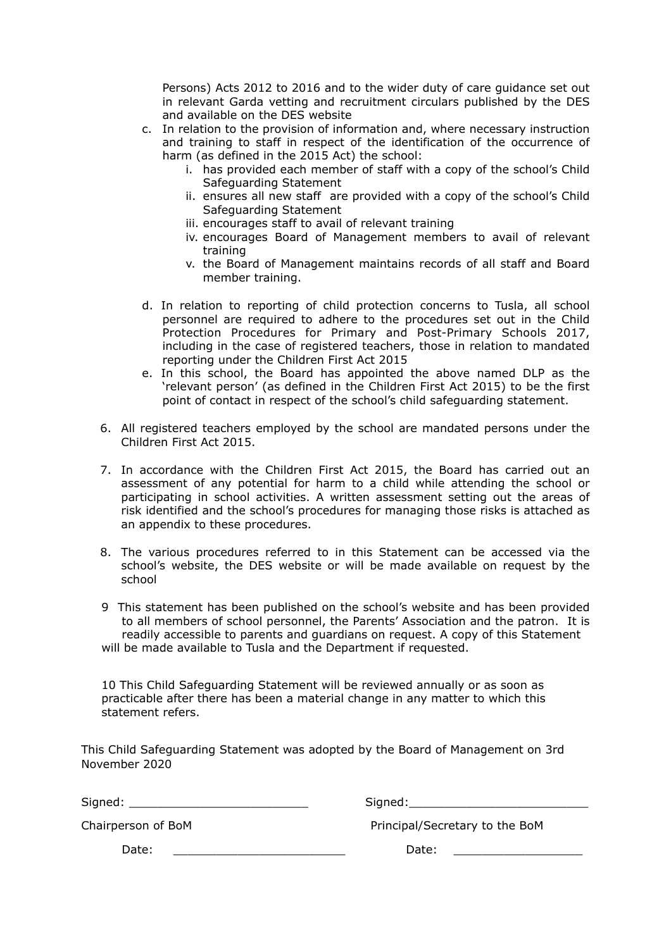Persons) Acts 2012 to 2016 and to the wider duty of care guidance set out in relevant Garda vetting and recruitment circulars published by the DES and available on the DES website

- c. In relation to the provision of information and, where necessary instruction and training to staff in respect of the identification of the occurrence of harm (as defined in the 2015 Act) the school:
	- i. has provided each member of staff with a copy of the school's Child Safeguarding Statement
	- ii. ensures all new staff are provided with a copy of the school's Child Safeguarding Statement
	- iii. encourages staff to avail of relevant training
	- iv. encourages Board of Management members to avail of relevant training
	- v. the Board of Management maintains records of all staff and Board member training.
- d. In relation to reporting of child protection concerns to Tusla, all school personnel are required to adhere to the procedures set out in the Child Protection Procedures for Primary and Post-Primary Schools 2017, including in the case of registered teachers, those in relation to mandated reporting under the Children First Act 2015
- e. In this school, the Board has appointed the above named DLP as the 'relevant person' (as defined in the Children First Act 2015) to be the first point of contact in respect of the school's child safeguarding statement.
- 6. All registered teachers employed by the school are mandated persons under the Children First Act 2015.
- 7. In accordance with the Children First Act 2015, the Board has carried out an assessment of any potential for harm to a child while attending the school or participating in school activities. A written assessment setting out the areas of risk identified and the school's procedures for managing those risks is attached as an appendix to these procedures.
- 8. The various procedures referred to in this Statement can be accessed via the school's website, the DES website or will be made available on request by the school
- 9 This statement has been published on the school's website and has been provided to all members of school personnel, the Parents' Association and the patron. It is readily accessible to parents and guardians on request. A copy of this Statement will be made available to Tusla and the Department if requested.

10 This Child Safeguarding Statement will be reviewed annually or as soon as practicable after there has been a material change in any matter to which this statement refers.

This Child Safeguarding Statement was adopted by the Board of Management on 3rd November 2020

Signed: \_\_\_\_\_\_\_\_\_\_\_\_\_\_\_\_\_\_\_\_\_\_\_\_\_ Signed:\_\_\_\_\_\_\_\_\_\_\_\_\_\_\_\_\_\_\_\_\_\_\_\_\_

Chairperson of BoM Principal/Secretary to the BoM

Date: \_\_\_\_\_\_\_\_\_\_\_\_\_\_\_\_\_\_\_\_\_\_\_\_ Date: \_\_\_\_\_\_\_\_\_\_\_\_\_\_\_\_\_\_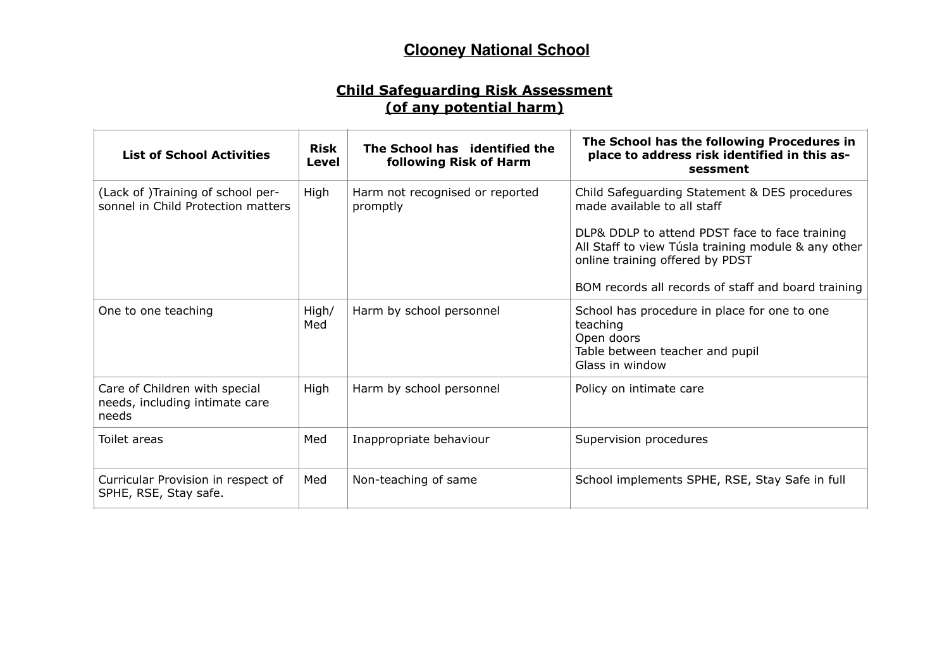### **Child Safeguarding Risk Assessment (of any potential harm)**

| <b>List of School Activities</b>                                         | <b>Risk</b><br>Level | The School has identified the<br>following Risk of Harm | The School has the following Procedures in<br>place to address risk identified in this as-<br>sessment                                                                                                                                                                          |
|--------------------------------------------------------------------------|----------------------|---------------------------------------------------------|---------------------------------------------------------------------------------------------------------------------------------------------------------------------------------------------------------------------------------------------------------------------------------|
| (Lack of )Training of school per-<br>sonnel in Child Protection matters  | High                 | Harm not recognised or reported<br>promptly             | Child Safeguarding Statement & DES procedures<br>made available to all staff<br>DLP& DDLP to attend PDST face to face training<br>All Staff to view Túsla training module & any other<br>online training offered by PDST<br>BOM records all records of staff and board training |
| One to one teaching                                                      | High/<br>Med         | Harm by school personnel                                | School has procedure in place for one to one<br>teaching<br>Open doors<br>Table between teacher and pupil<br>Glass in window                                                                                                                                                    |
| Care of Children with special<br>needs, including intimate care<br>needs | High                 | Harm by school personnel                                | Policy on intimate care                                                                                                                                                                                                                                                         |
| Toilet areas                                                             | Med                  | Inappropriate behaviour                                 | Supervision procedures                                                                                                                                                                                                                                                          |
| Curricular Provision in respect of<br>SPHE, RSE, Stay safe.              | Med                  | Non-teaching of same                                    | School implements SPHE, RSE, Stay Safe in full                                                                                                                                                                                                                                  |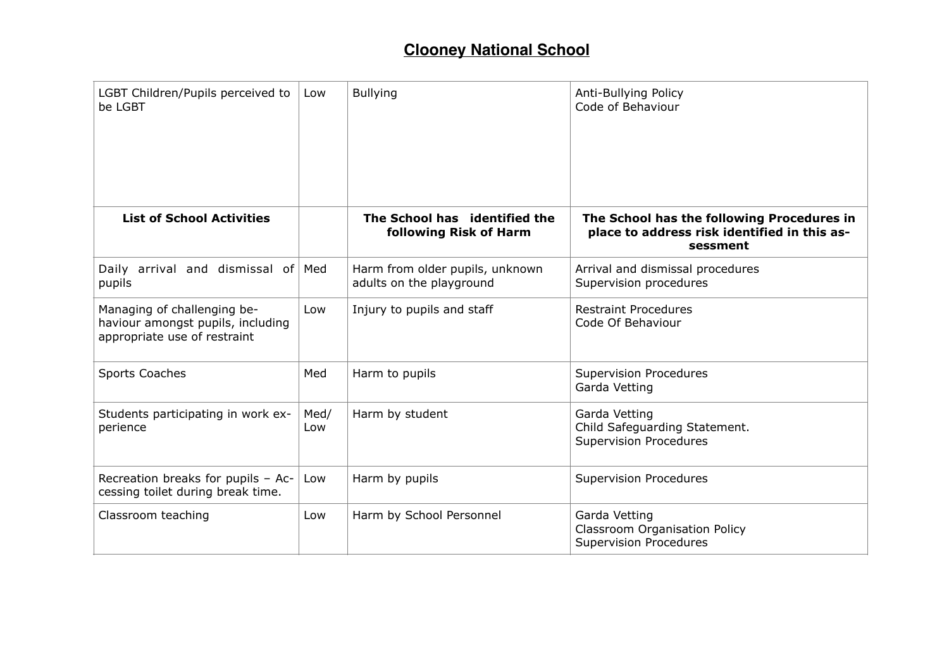| LGBT Children/Pupils perceived to<br>be LGBT                                                     | Low         | <b>Bullying</b>                                             | Anti-Bullying Policy<br>Code of Behaviour                                                              |
|--------------------------------------------------------------------------------------------------|-------------|-------------------------------------------------------------|--------------------------------------------------------------------------------------------------------|
| <b>List of School Activities</b>                                                                 |             | The School has identified the<br>following Risk of Harm     | The School has the following Procedures in<br>place to address risk identified in this as-<br>sessment |
| Daily arrival and dismissal of Med<br>pupils                                                     |             | Harm from older pupils, unknown<br>adults on the playground | Arrival and dismissal procedures<br>Supervision procedures                                             |
| Managing of challenging be-<br>haviour amongst pupils, including<br>appropriate use of restraint | Low         | Injury to pupils and staff                                  | <b>Restraint Procedures</b><br>Code Of Behaviour                                                       |
| <b>Sports Coaches</b>                                                                            | Med         | Harm to pupils                                              | <b>Supervision Procedures</b><br>Garda Vetting                                                         |
| Students participating in work ex-<br>perience                                                   | Med/<br>Low | Harm by student                                             | Garda Vetting<br>Child Safeguarding Statement.<br><b>Supervision Procedures</b>                        |
| Recreation breaks for pupils - Ac-<br>cessing toilet during break time.                          | Low         | Harm by pupils                                              | <b>Supervision Procedures</b>                                                                          |
| Classroom teaching                                                                               | Low         | Harm by School Personnel                                    | Garda Vetting<br><b>Classroom Organisation Policy</b><br><b>Supervision Procedures</b>                 |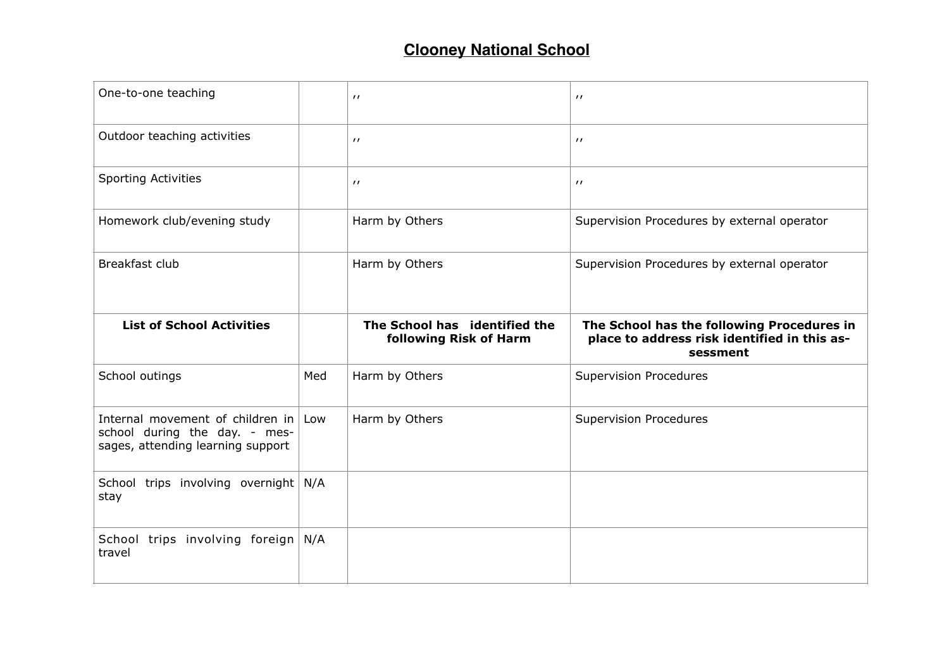| One-to-one teaching                                                                                        |     | $^{\prime}$                   | $^{\prime}$                                              |
|------------------------------------------------------------------------------------------------------------|-----|-------------------------------|----------------------------------------------------------|
| Outdoor teaching activities                                                                                |     | $^{\prime}$                   | $^{\prime}$                                              |
| <b>Sporting Activities</b>                                                                                 |     | $^{\prime}$                   | $^{\prime}$                                              |
| Homework club/evening study                                                                                |     | Harm by Others                | Supervision Procedures by external operator              |
| Breakfast club                                                                                             |     | Harm by Others                | Supervision Procedures by external operator              |
| <b>List of School Activities</b>                                                                           |     | The School has identified the | The School has the following Procedures in               |
|                                                                                                            |     | following Risk of Harm        | place to address risk identified in this as-<br>sessment |
| School outings                                                                                             | Med | Harm by Others                | <b>Supervision Procedures</b>                            |
| Internal movement of children in Low<br>school during the day. - mes-<br>sages, attending learning support |     | Harm by Others                | <b>Supervision Procedures</b>                            |
| School trips involving overnight N/A<br>stay                                                               |     |                               |                                                          |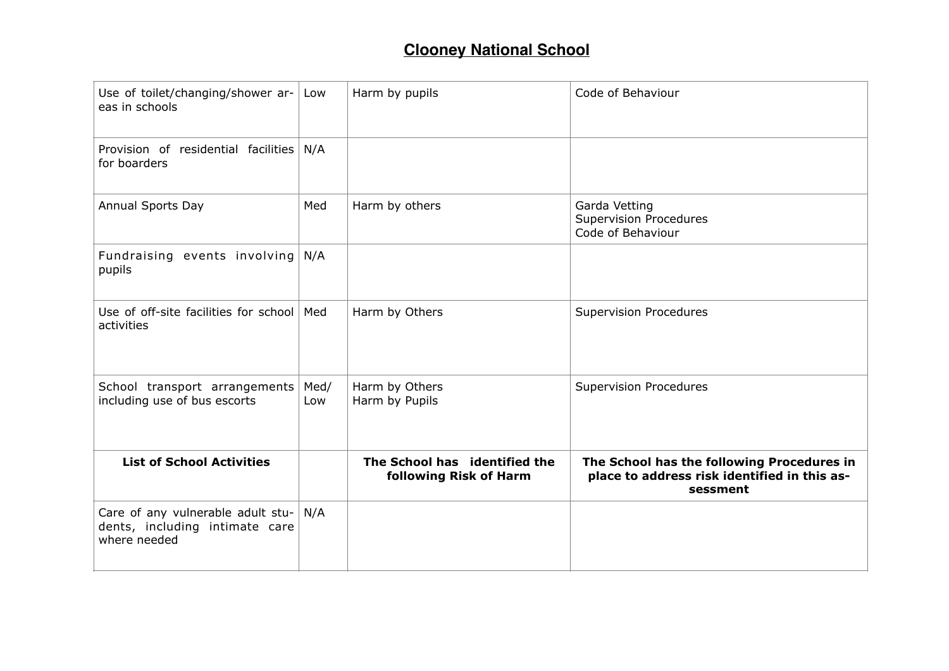| Use of toilet/changing/shower ar-<br>eas in schools                                 | Low         | Harm by pupils                                          | Code of Behaviour                                                                                      |
|-------------------------------------------------------------------------------------|-------------|---------------------------------------------------------|--------------------------------------------------------------------------------------------------------|
| Provision of residential facilities<br>for boarders                                 | N/A         |                                                         |                                                                                                        |
| Annual Sports Day                                                                   | Med         | Harm by others                                          | Garda Vetting<br><b>Supervision Procedures</b><br>Code of Behaviour                                    |
| Fundraising events involving<br>pupils                                              | N/A         |                                                         |                                                                                                        |
| Use of off-site facilities for school   Med<br>activities                           |             | Harm by Others                                          | <b>Supervision Procedures</b>                                                                          |
| School transport arrangements<br>including use of bus escorts                       | Med/<br>Low | Harm by Others<br>Harm by Pupils                        | <b>Supervision Procedures</b>                                                                          |
| <b>List of School Activities</b>                                                    |             | The School has identified the<br>following Risk of Harm | The School has the following Procedures in<br>place to address risk identified in this as-<br>sessment |
| Care of any vulnerable adult stu-<br>dents, including intimate care<br>where needed | N/A         |                                                         |                                                                                                        |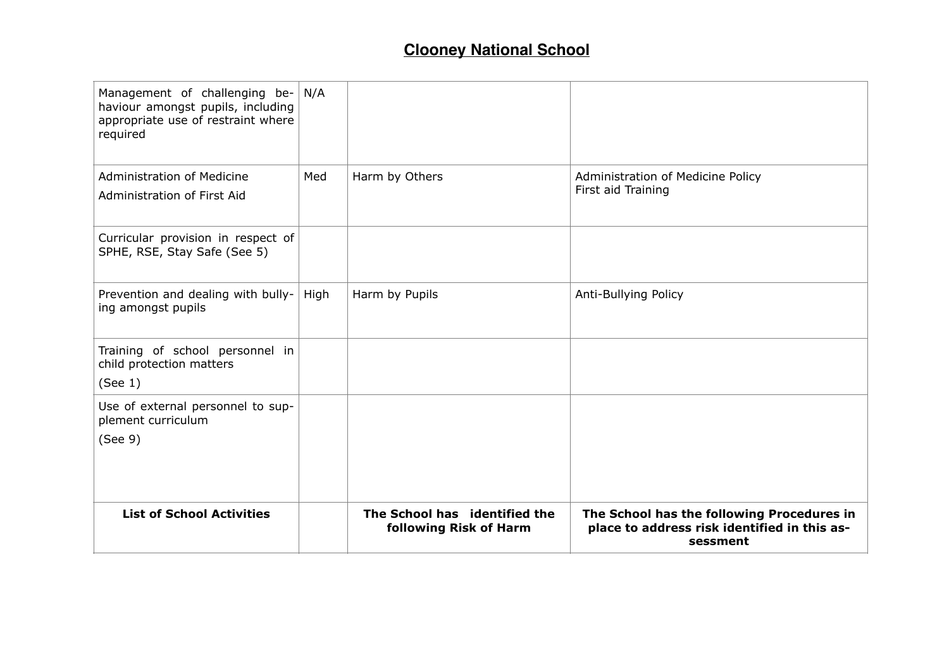| Management of challenging be-<br>haviour amongst pupils, including<br>appropriate use of restraint where<br>required | N/A  |                                                         |                                                                                                        |
|----------------------------------------------------------------------------------------------------------------------|------|---------------------------------------------------------|--------------------------------------------------------------------------------------------------------|
| Administration of Medicine<br>Administration of First Aid                                                            | Med  | Harm by Others                                          | Administration of Medicine Policy<br>First aid Training                                                |
| Curricular provision in respect of<br>SPHE, RSE, Stay Safe (See 5)                                                   |      |                                                         |                                                                                                        |
| Prevention and dealing with bully-<br>ing amongst pupils                                                             | High | Harm by Pupils                                          | Anti-Bullying Policy                                                                                   |
| Training of school personnel in<br>child protection matters<br>(See 1)                                               |      |                                                         |                                                                                                        |
| Use of external personnel to sup-<br>plement curriculum<br>(See 9)                                                   |      |                                                         |                                                                                                        |
| <b>List of School Activities</b>                                                                                     |      | The School has identified the<br>following Risk of Harm | The School has the following Procedures in<br>place to address risk identified in this as-<br>sessment |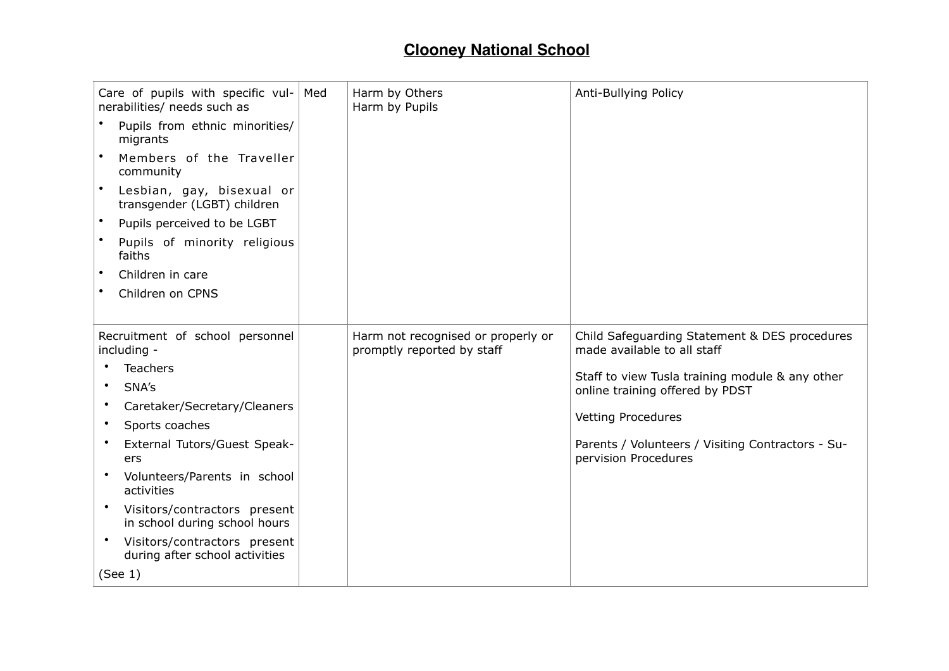| Care of pupils with specific vul-<br>nerabilities/ needs such as   | Med | Harm by Others<br>Harm by Pupils                                 | Anti-Bullying Policy                                                         |
|--------------------------------------------------------------------|-----|------------------------------------------------------------------|------------------------------------------------------------------------------|
| Pupils from ethnic minorities/<br>migrants                         |     |                                                                  |                                                                              |
| Members of the Traveller<br>community                              |     |                                                                  |                                                                              |
| Lesbian, gay, bisexual or<br>transgender (LGBT) children           |     |                                                                  |                                                                              |
| Pupils perceived to be LGBT                                        |     |                                                                  |                                                                              |
| Pupils of minority religious<br>faiths                             |     |                                                                  |                                                                              |
| Children in care<br>$\bullet$                                      |     |                                                                  |                                                                              |
| Children on CPNS                                                   |     |                                                                  |                                                                              |
|                                                                    |     |                                                                  |                                                                              |
| Recruitment of school personnel<br>including -                     |     | Harm not recognised or properly or<br>promptly reported by staff | Child Safeguarding Statement & DES procedures<br>made available to all staff |
| <b>Teachers</b>                                                    |     |                                                                  | Staff to view Tusla training module & any other                              |
| SNA's                                                              |     |                                                                  | online training offered by PDST                                              |
| Caretaker/Secretary/Cleaners                                       |     |                                                                  |                                                                              |
| Sports coaches                                                     |     |                                                                  | <b>Vetting Procedures</b>                                                    |
| External Tutors/Guest Speak-<br>ers                                |     |                                                                  | Parents / Volunteers / Visiting Contractors - Su-<br>pervision Procedures    |
| Volunteers/Parents in school<br>$\bullet$<br>activities            |     |                                                                  |                                                                              |
| Visitors/contractors present<br>٠<br>in school during school hours |     |                                                                  |                                                                              |
| Visitors/contractors present<br>during after school activities     |     |                                                                  |                                                                              |
| (See 1)                                                            |     |                                                                  |                                                                              |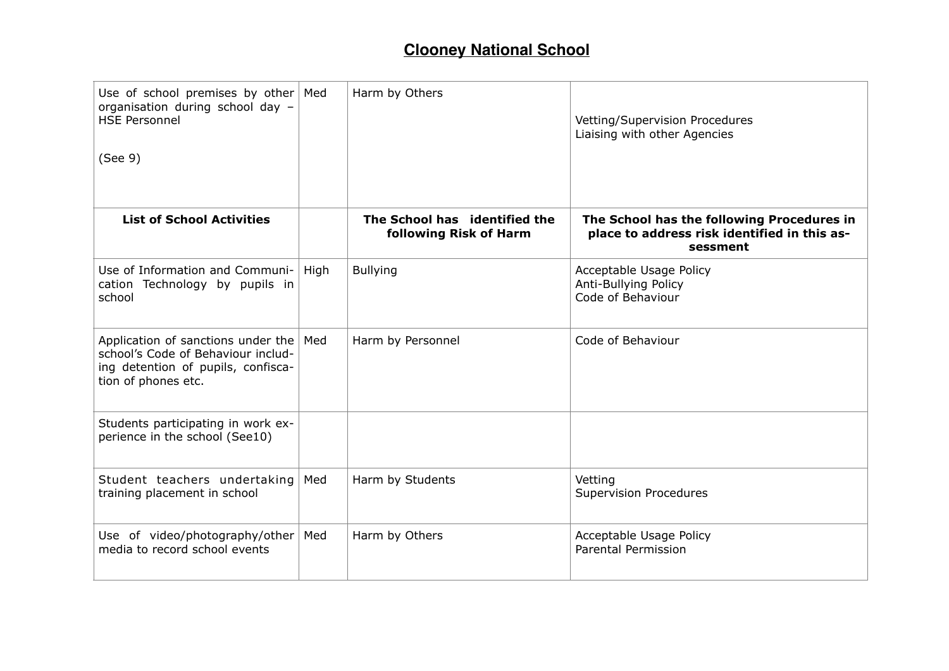| Use of school premises by other $\vert$ Med<br>organisation during school day -<br><b>HSE Personnel</b><br>(See 9)                    |      | Harm by Others                                          | Vetting/Supervision Procedures<br>Liaising with other Agencies                                         |
|---------------------------------------------------------------------------------------------------------------------------------------|------|---------------------------------------------------------|--------------------------------------------------------------------------------------------------------|
|                                                                                                                                       |      |                                                         |                                                                                                        |
| <b>List of School Activities</b>                                                                                                      |      | The School has identified the<br>following Risk of Harm | The School has the following Procedures in<br>place to address risk identified in this as-<br>sessment |
| Use of Information and Communi-<br>cation Technology by pupils in<br>school                                                           | High | <b>Bullying</b>                                         | Acceptable Usage Policy<br>Anti-Bullying Policy<br>Code of Behaviour                                   |
| Application of sanctions under the<br>school's Code of Behaviour includ-<br>ing detention of pupils, confisca-<br>tion of phones etc. | Med  | Harm by Personnel                                       | Code of Behaviour                                                                                      |
| Students participating in work ex-<br>perience in the school (See10)                                                                  |      |                                                         |                                                                                                        |
| Student teachers undertaking<br>training placement in school                                                                          | Med  | Harm by Students                                        | Vetting<br><b>Supervision Procedures</b>                                                               |
| Use of video/photography/other<br>media to record school events                                                                       | Med  | Harm by Others                                          | Acceptable Usage Policy<br><b>Parental Permission</b>                                                  |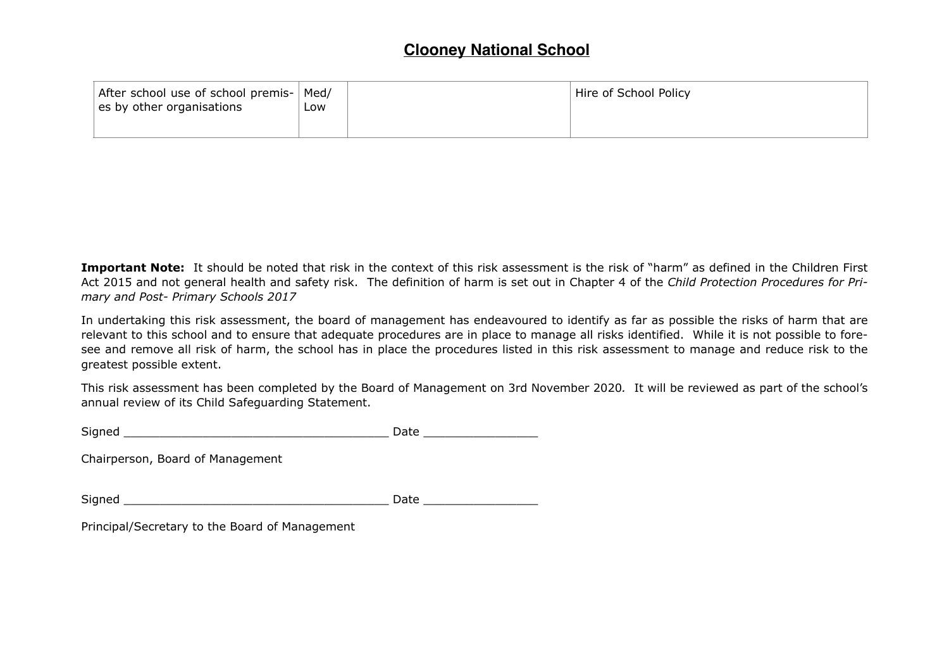| After school use of school premis-<br>$\vert$ es by other organisations | Med/<br>_OW | Hire of School Policy |
|-------------------------------------------------------------------------|-------------|-----------------------|
|                                                                         |             |                       |

**Important Note:** It should be noted that risk in the context of this risk assessment is the risk of "harm" as defined in the Children First Act 2015 and not general health and safety risk. The definition of harm is set out in Chapter 4 of the *Child Protection Procedures for Primary and Post- Primary Schools 2017*

In undertaking this risk assessment, the board of management has endeavoured to identify as far as possible the risks of harm that are relevant to this school and to ensure that adequate procedures are in place to manage all risks identified. While it is not possible to foresee and remove all risk of harm, the school has in place the procedures listed in this risk assessment to manage and reduce risk to the greatest possible extent.

This risk assessment has been completed by the Board of Management on 3rd November 2020*.* It will be reviewed as part of the school's annual review of its Child Safeguarding Statement.

| $\sim$<br>$\sim$<br>- | -<br>-- |
|-----------------------|---------|
|                       | - - -   |

Chairperson, Board of Management

Signed \_\_\_\_\_\_\_\_\_\_\_\_\_\_\_\_\_\_\_\_\_\_\_\_\_\_\_\_\_\_\_\_\_\_\_\_\_ Date \_\_\_\_\_\_\_\_\_\_\_\_\_\_\_\_

Principal/Secretary to the Board of Management